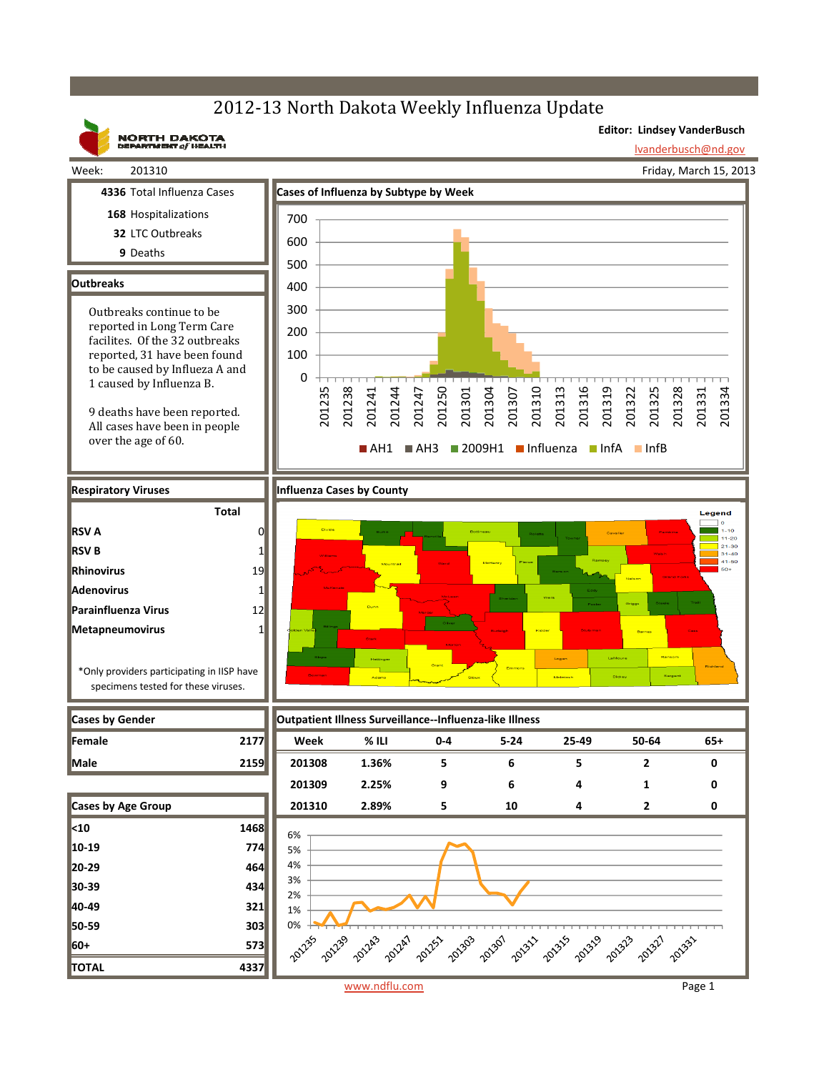## 2012-13 North Dakota Weekly Influenza Update



www.ndflu.com Page 1